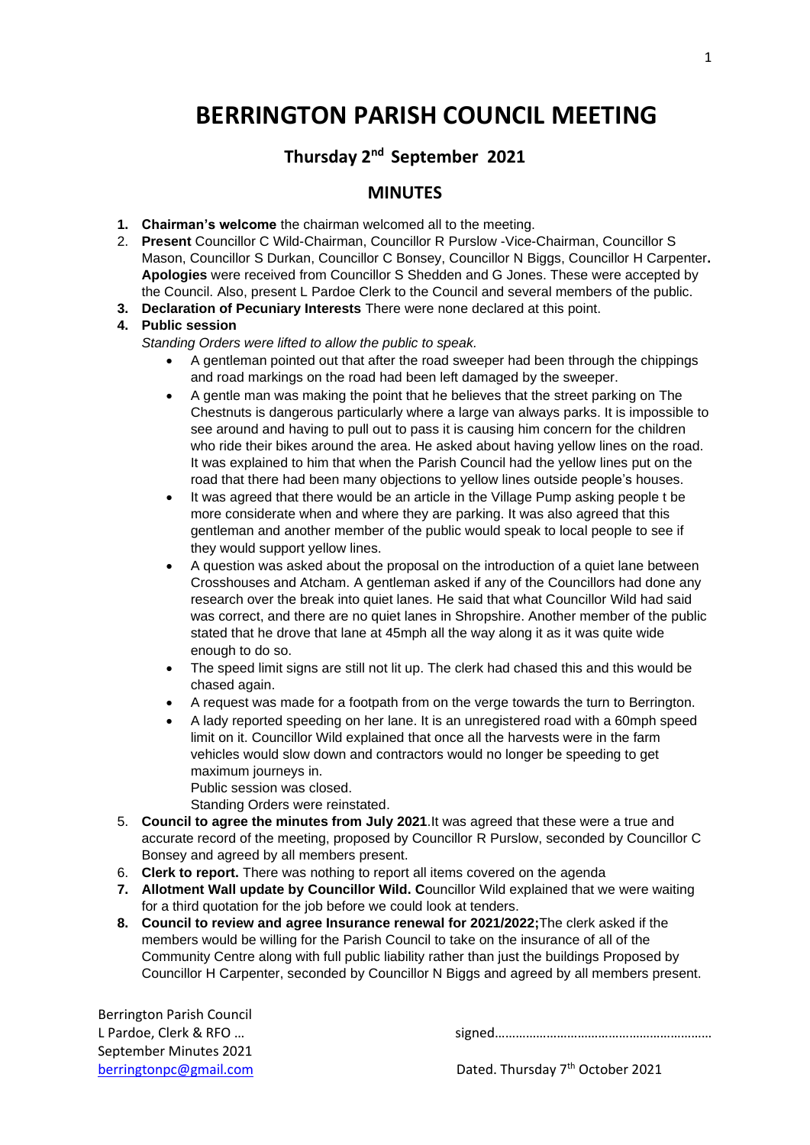# **BERRINGTON PARISH COUNCIL MEETING**

## **Thursday 2 nd September 2021**

### **MINUTES**

- **1. Chairman's welcome** the chairman welcomed all to the meeting.
- 2. **Present** Councillor C Wild-Chairman, Councillor R Purslow -Vice-Chairman, Councillor S Mason, Councillor S Durkan, Councillor C Bonsey, Councillor N Biggs, Councillor H Carpenter**. Apologies** were received from Councillor S Shedden and G Jones. These were accepted by the Council. Also, present L Pardoe Clerk to the Council and several members of the public.
- **3. Declaration of Pecuniary Interests** There were none declared at this point.

#### **4. Public session**

*Standing Orders were lifted to allow the public to speak.*

- A gentleman pointed out that after the road sweeper had been through the chippings and road markings on the road had been left damaged by the sweeper.
- A gentle man was making the point that he believes that the street parking on The Chestnuts is dangerous particularly where a large van always parks. It is impossible to see around and having to pull out to pass it is causing him concern for the children who ride their bikes around the area. He asked about having yellow lines on the road. It was explained to him that when the Parish Council had the yellow lines put on the road that there had been many objections to yellow lines outside people's houses.
- It was agreed that there would be an article in the Village Pump asking people t be more considerate when and where they are parking. It was also agreed that this gentleman and another member of the public would speak to local people to see if they would support yellow lines.
- A question was asked about the proposal on the introduction of a quiet lane between Crosshouses and Atcham. A gentleman asked if any of the Councillors had done any research over the break into quiet lanes. He said that what Councillor [Wild](file://///Wild) had said was correct, and there are no quiet lanes in Shropshire. Another member of the public stated that he drove that lane at 45mph all the way along it as it was quite wide enough to do so.
- The speed limit signs are still not lit up. The clerk had chased this and this would be chased again.
- A request was made for a footpath from on the verge towards the turn to Berrington.
- A lady reported speeding on her lane. It is an unregistered road with a 60mph speed limit on it. Councillor Wild explained that once all the harvests were in the farm vehicles would slow down and contractors would no longer be speeding to get maximum journeys in. Public session was closed.

Standing Orders were reinstated.

- 5. **Council to agree the minutes from July 2021**.It was agreed that these were a true and accurate record of the meeting, proposed by Councillor R Purslow, seconded by Councillor C Bonsey and agreed by all members present.
- 6. **Clerk to report.** There was nothing to report all items covered on the agenda
- **7. Allotment Wall update by Councillor Wild. C**ouncillor Wild explained that we were waiting for a third quotation for the job before we could look at tenders.
- **8. Council to review and agree Insurance renewal for 2021/2022;**The clerk asked if the members would be willing for the Parish Council to take on the insurance of all of the Community Centre along with full public liability rather than just the buildings Proposed by Councillor H Carpenter, seconded by Councillor N Biggs and agreed by all members present.

Berrington Parish Council September Minutes 2021

L Pardoe, Clerk & RFO ...

[berringtonpc@gmail.com](mailto:berringtonpc@gmail.com) Dated. Thursday 7<sup>th</sup> October 2021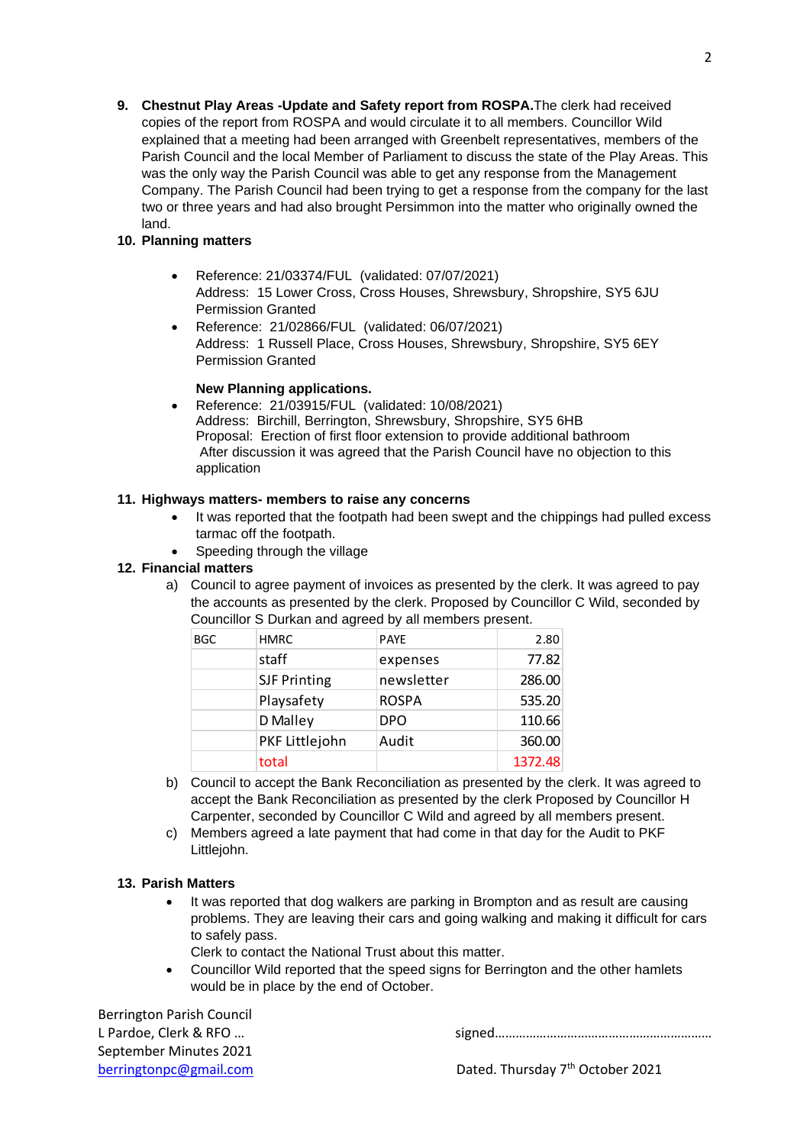**9. Chestnut Play Areas -Update and Safety report from ROSPA.**The clerk had received copies of the report from ROSPA and would circulate it to all members. Councillor Wild explained that a meeting had been arranged with Greenbelt representatives, members of the Parish Council and the local Member of Parliament to discuss the state of the Play Areas. This was the only way the Parish Council was able to get any response from the Management Company. The Parish Council had been trying to get a response from the company for the last two or three years and had also brought Persimmon into the matter who originally owned the land.

#### **10. Planning matters**

- Reference: 21/03374/FUL (validated: 07/07/2021) Address: 15 Lower Cross, Cross Houses, Shrewsbury, Shropshire, SY5 6JU Permission Granted
- Reference: 21/02866/FUL (validated: 06/07/2021) Address: 1 Russell Place, Cross Houses, Shrewsbury, Shropshire, SY5 6EY Permission Granted

#### **New Planning applications.**

• Reference: 21/03915/FUL (validated: 10/08/2021) Address: Birchill, Berrington, Shrewsbury, Shropshire, SY5 6HB Proposal: Erection of first floor extension to provide additional bathroom After discussion it was agreed that the Parish Council have no objection to this application

#### **11. Highways matters- members to raise any concerns**

- It was reported that the footpath had been swept and the chippings had pulled excess tarmac off the footpath.
- Speeding through the village

#### **12. Financial matters**

a) Council to agree payment of invoices as presented by the clerk. It was agreed to pay the accounts as presented by the clerk. Proposed by Councillor C Wild, seconded by Councillor S Durkan and agreed by all members present.

| <b>BGC</b> | <b>HMRC</b>         | <b>PAYE</b>  | 2.80    |
|------------|---------------------|--------------|---------|
|            | staff               | expenses     | 77.82   |
|            | <b>SJF Printing</b> | newsletter   | 286.00  |
|            | Playsafety          | <b>ROSPA</b> | 535.20  |
|            | D Malley            | <b>DPO</b>   | 110.66  |
|            | PKF Littlejohn      | Audit        | 360.00  |
|            | total               |              | 1372.48 |

- b) Council to accept the Bank Reconciliation as presented by the clerk. It was agreed to accept the Bank Reconciliation as presented by the clerk Proposed by Councillor H Carpenter, seconded by Councillor C Wild and agreed by all members present.
- c) Members agreed a late payment that had come in that day for the Audit to PKF Littlejohn.

#### **13. Parish Matters**

- It was reported that dog walkers are parking in Brompton and as result are causing problems. They are leaving their cars and going walking and making it difficult for cars to safely pass.
	- Clerk to contact the National Trust about this matter.
- Councillor Wild reported that the speed signs for Berrington and the other hamlets would be in place by the end of October.

Berrington Parish Council September Minutes 2021

L Pardoe, Clerk & RFO … signed………………………………………………………

[berringtonpc@gmail.com](mailto:berringtonpc@gmail.com) Dated. Thursday 7<sup>th</sup> October 2021